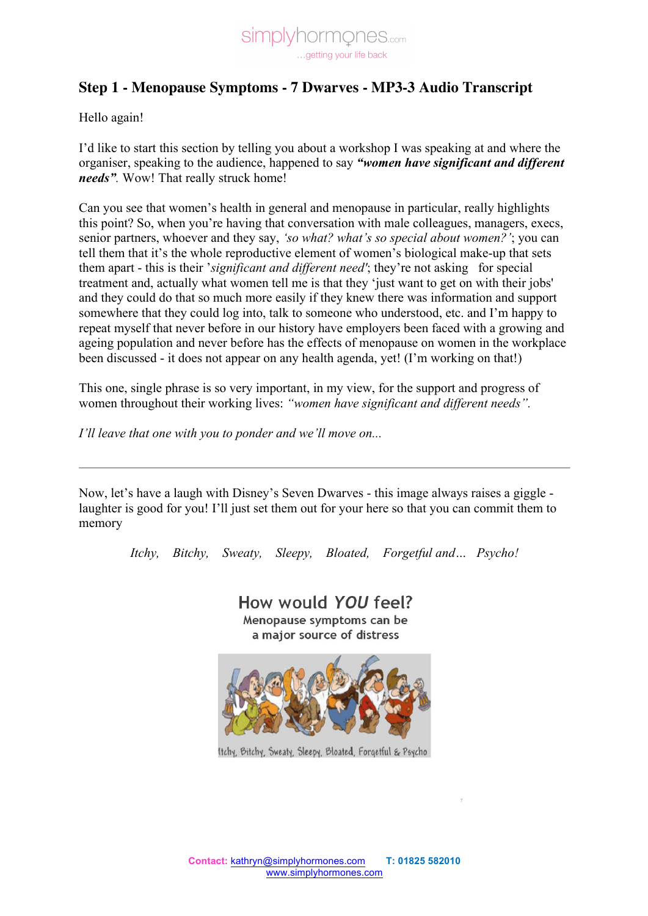

## **Step 1 - Menopause Symptoms - 7 Dwarves - MP3-3 Audio Transcript**

Hello again!

I'd like to start this section by telling you about a workshop I was speaking at and where the organiser, speaking to the audience, happened to say *"women have significant and different needs".* Wow! That really struck home!

Can you see that women's health in general and menopause in particular, really highlights this point? So, when you're having that conversation with male colleagues, managers, execs, senior partners, whoever and they say, *'so what? what's so special about women?'*; you can tell them that it's the whole reproductive element of women's biological make-up that sets them apart - this is their '*significant and different need'*; they're not asking for special treatment and, actually what women tell me is that they 'just want to get on with their jobs' and they could do that so much more easily if they knew there was information and support somewhere that they could log into, talk to someone who understood, etc. and I'm happy to repeat myself that never before in our history have employers been faced with a growing and ageing population and never before has the effects of menopause on women in the workplace been discussed - it does not appear on any health agenda, yet! (I'm working on that!)

This one, single phrase is so very important, in my view, for the support and progress of women throughout their working lives: *"women have significant and different needs".*

*I'll leave that one with you to ponder and we'll move on...*

Now, let's have a laugh with Disney's Seven Dwarves - this image always raises a giggle laughter is good for you! I'll just set them out for your here so that you can commit them to memory

*Itchy, Bitchy, Sweaty, Sleepy, Bloated, Forgetful and… Psycho!*

How would YOU feel? Menopause symptoms can be a major source of distress



Itchy, Bitchy, Sweaty, Sleepy, Bloated, Forgetful & Psycho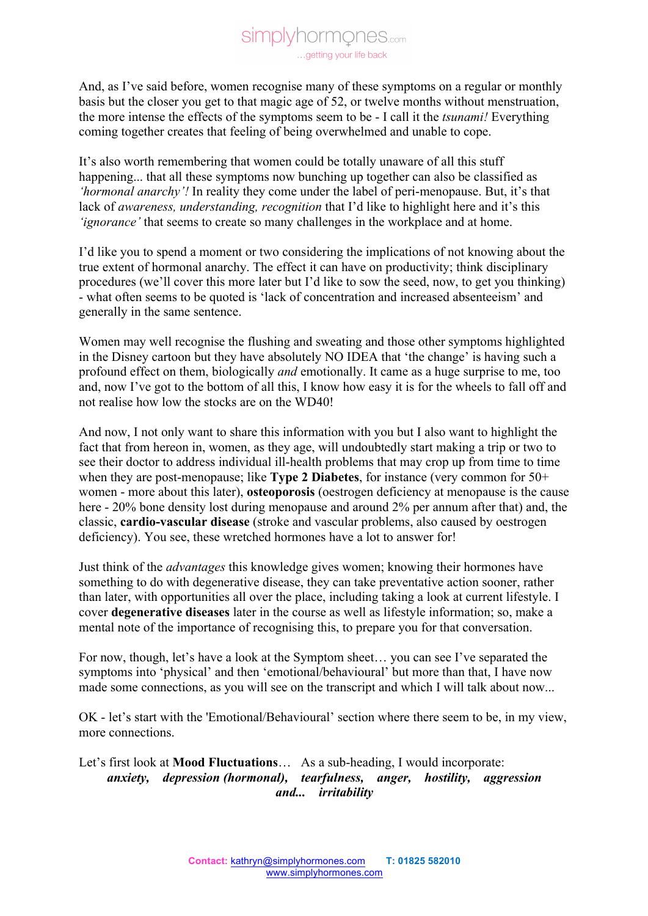And, as I've said before, women recognise many of these symptoms on a regular or monthly basis but the closer you get to that magic age of 52, or twelve months without menstruation, the more intense the effects of the symptoms seem to be - I call it the *tsunami!* Everything coming together creates that feeling of being overwhelmed and unable to cope.

It's also worth remembering that women could be totally unaware of all this stuff happening... that all these symptoms now bunching up together can also be classified as *'hormonal anarchy'!* In reality they come under the label of peri-menopause. But, it's that lack of *awareness, understanding, recognition* that I'd like to highlight here and it's this *'ignorance'* that seems to create so many challenges in the workplace and at home.

I'd like you to spend a moment or two considering the implications of not knowing about the true extent of hormonal anarchy. The effect it can have on productivity; think disciplinary procedures (we'll cover this more later but I'd like to sow the seed, now, to get you thinking) - what often seems to be quoted is 'lack of concentration and increased absenteeism' and generally in the same sentence.

Women may well recognise the flushing and sweating and those other symptoms highlighted in the Disney cartoon but they have absolutely NO IDEA that 'the change' is having such a profound effect on them, biologically *and* emotionally. It came as a huge surprise to me, too and, now I've got to the bottom of all this, I know how easy it is for the wheels to fall off and not realise how low the stocks are on the WD40!

And now, I not only want to share this information with you but I also want to highlight the fact that from hereon in, women, as they age, will undoubtedly start making a trip or two to see their doctor to address individual ill-health problems that may crop up from time to time when they are post-menopause; like **Type 2 Diabetes**, for instance (very common for 50+ women - more about this later), **osteoporosis** (oestrogen deficiency at menopause is the cause here - 20% bone density lost during menopause and around 2% per annum after that) and, the classic, **cardio-vascular disease** (stroke and vascular problems, also caused by oestrogen deficiency). You see, these wretched hormones have a lot to answer for!

Just think of the *advantages* this knowledge gives women; knowing their hormones have something to do with degenerative disease, they can take preventative action sooner, rather than later, with opportunities all over the place, including taking a look at current lifestyle. I cover **degenerative diseases** later in the course as well as lifestyle information; so, make a mental note of the importance of recognising this, to prepare you for that conversation.

For now, though, let's have a look at the Symptom sheet… you can see I've separated the symptoms into 'physical' and then 'emotional/behavioural' but more than that, I have now made some connections, as you will see on the transcript and which I will talk about now...

OK - let's start with the 'Emotional/Behavioural' section where there seem to be, in my view, more connections.

Let's first look at **Mood Fluctuations**… As a sub-heading, I would incorporate: *anxiety, depression (hormonal), tearfulness, anger, hostility, aggression and... irritability*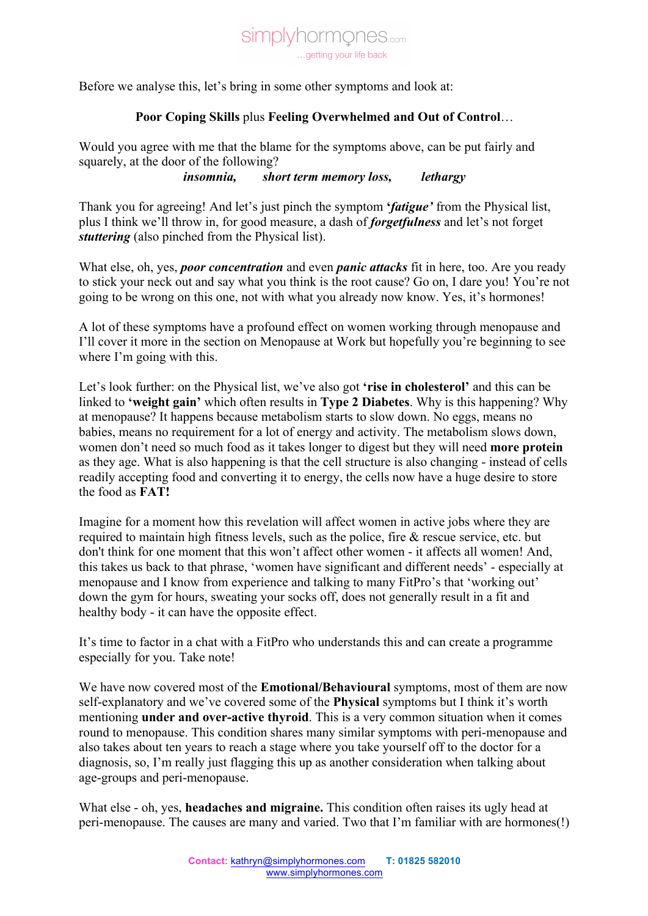## simplyhormones.com ..getting your life back

Before we analyse this, let's bring in some other symptoms and look at:

## **Poor Coping Skills** plus **Feeling Overwhelmed and Out of Control**…

Would you agree with me that the blame for the symptoms above, can be put fairly and squarely, at the door of the following?

*insomnia, short term memory loss, lethargy*

Thank you for agreeing! And let's just pinch the symptom **'***fatigue'* from the Physical list, plus I think we'll throw in, for good measure, a dash of *forgetfulness* and let's not forget *stuttering* (also pinched from the Physical list).

What else, oh, yes, *poor concentration* and even *panic attacks* fit in here, too. Are you ready to stick your neck out and say what you think is the root cause? Go on, I dare you! You're not going to be wrong on this one, not with what you already now know. Yes, it's hormones!

A lot of these symptoms have a profound effect on women working through menopause and I'll cover it more in the section on Menopause at Work but hopefully you're beginning to see where I'm going with this.

Let's look further: on the Physical list, we've also got **'rise in cholesterol'** and this can be linked to **'weight gain'** which often results in **Type 2 Diabetes**. Why is this happening? Why at menopause? It happens because metabolism starts to slow down. No eggs, means no babies, means no requirement for a lot of energy and activity. The metabolism slows down, women don't need so much food as it takes longer to digest but they will need **more protein** as they age. What is also happening is that the cell structure is also changing - instead of cells readily accepting food and converting it to energy, the cells now have a huge desire to store the food as **FAT!**

Imagine for a moment how this revelation will affect women in active jobs where they are required to maintain high fitness levels, such as the police, fire & rescue service, etc. but don't think for one moment that this won't affect other women - it affects all women! And, this takes us back to that phrase, 'women have significant and different needs' - especially at menopause and I know from experience and talking to many FitPro's that 'working out' down the gym for hours, sweating your socks off, does not generally result in a fit and healthy body - it can have the opposite effect.

It's time to factor in a chat with a FitPro who understands this and can create a programme especially for you. Take note!

We have now covered most of the **Emotional/Behavioural** symptoms, most of them are now self-explanatory and we've covered some of the **Physical** symptoms but I think it's worth mentioning **under and over-active thyroid**. This is a very common situation when it comes round to menopause. This condition shares many similar symptoms with peri-menopause and also takes about ten years to reach a stage where you take yourself off to the doctor for a diagnosis, so, I'm really just flagging this up as another consideration when talking about age-groups and peri-menopause.

What else - oh, yes, **headaches and migraine.** This condition often raises its ugly head at peri-menopause. The causes are many and varied. Two that I'm familiar with are hormones(!)